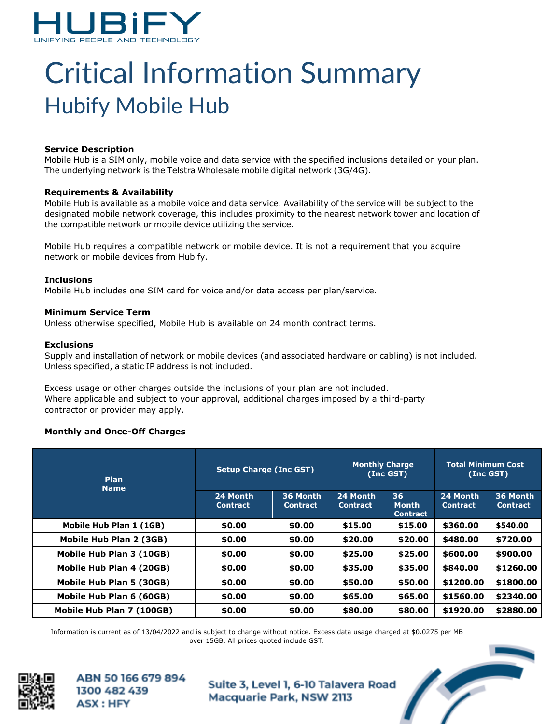

# Critical Information Summary Hubify Mobile Hub

#### **Service Description**

Mobile Hub is a SIM only, mobile voice and data service with the specified inclusions detailed on your plan. The underlying network is the Telstra Wholesale mobile digital network (3G/4G).

#### **Requirements & Availability**

Mobile Hub is available as a mobile voice and data service. Availability of the service will be subject to the designated mobile network coverage, this includes proximity to the nearest network tower and location of the compatible network or mobile device utilizing the service.

Mobile Hub requires a compatible network or mobile device. It is not a requirement that you acquire network or mobile devices from Hubify.

#### **Inclusions**

Mobile Hub includes one SIM card for voice and/or data access per plan/service.

## **Minimum Service Term**

Unless otherwise specified, Mobile Hub is available on 24 month contract terms.

## **Exclusions**

Supply and installation of network or mobile devices (and associated hardware or cabling) is not included. Unless specified, a static IP address is not included.

Excess usage or other charges outside the inclusions of your plan are not included. Where applicable and subject to your approval, additional charges imposed by a third-party contractor or provider may apply.

# **Monthly and Once-Off Charges**

| <b>Plan</b><br><b>Name</b> | <b>Setup Charge (Inc GST)</b> |                             | <b>Monthly Charge</b><br>(Inc GST) |                                       | <b>Total Minimum Cost</b><br>$(Inc$ GST $)$ |                             |
|----------------------------|-------------------------------|-----------------------------|------------------------------------|---------------------------------------|---------------------------------------------|-----------------------------|
|                            | 24 Month<br><b>Contract</b>   | 36 Month<br><b>Contract</b> | 24 Month<br><b>Contract</b>        | 36<br><b>Month</b><br><b>Contract</b> | 24 Month<br><b>Contract</b>                 | 36 Month<br><b>Contract</b> |
| Mobile Hub Plan 1 (1GB)    | \$0.00                        | \$0.00                      | \$15.00                            | \$15.00                               | \$360.00                                    | \$540.00                    |
| Mobile Hub Plan 2 (3GB)    | \$0.00                        | \$0.00                      | \$20.00                            | \$20.00                               | \$480.00                                    | \$720.00                    |
| Mobile Hub Plan 3 (10GB)   | \$0.00                        | \$0.00                      | \$25.00                            | \$25.00                               | \$600.00                                    | \$900.00                    |
| Mobile Hub Plan 4 (20GB)   | \$0.00                        | \$0.00                      | \$35.00                            | \$35.00                               | \$840.00                                    | \$1260.00                   |
| Mobile Hub Plan 5 (30GB)   | \$0.00                        | \$0.00                      | \$50.00                            | \$50.00                               | \$1200.00                                   | \$1800.00                   |
| Mobile Hub Plan 6 (60GB)   | \$0.00                        | \$0.00                      | \$65.00                            | \$65.00                               | \$1560.00                                   | \$2340.00                   |
| Mobile Hub Plan 7 (100GB)  | \$0.00                        | \$0.00                      | \$80.00                            | \$80.00                               | \$1920.00                                   | \$2880.00                   |

Information is current as of 13/04/2022 and is subject to change without notice. Excess data usage charged at \$0.0275 per MB over 15GB. All prices quoted include GST.



ABN 50 166 679 894 1300 482 439 **ASX: HFY**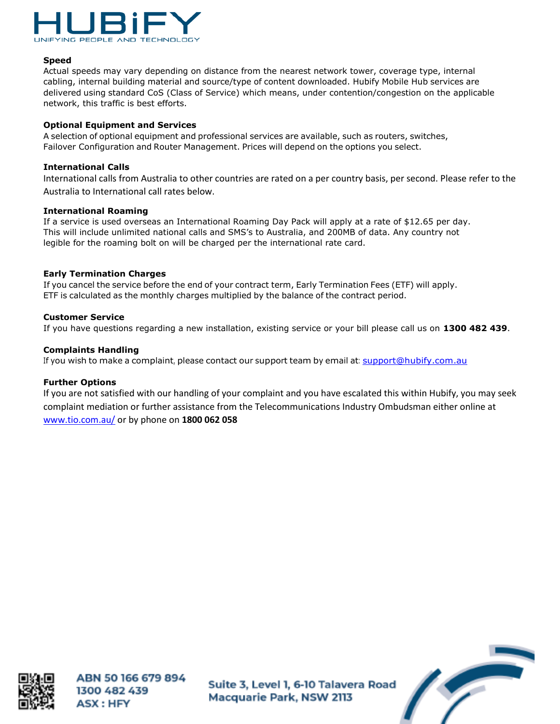

## **Speed**

Actual speeds may vary depending on distance from the nearest network tower, coverage type, internal cabling, internal building material and source/type of content downloaded. Hubify Mobile Hub services are delivered using standard CoS (Class of Service) which means, under contention/congestion on the applicable network, this traffic is best efforts.

#### **Optional Equipment and Services**

A selection of optional equipment and professional services are available, such as routers, switches, Failover Configuration and Router Management. Prices will depend on the options you select.

#### **International Calls**

International calls from Australia to other countries are rated on a per country basis, per second. Please refer to the Australia to International call rates below.

#### **International Roaming**

If a service is used overseas an International Roaming Day Pack will apply at a rate of \$12.65 per day. This will include unlimited national calls and SMS's to Australia, and 200MB of data. Any country not legible for the roaming bolt on will be charged per the international rate card.

#### **Early Termination Charges**

If you cancel the service before the end of your contract term, Early Termination Fees (ETF) will apply. ETF is calculated as the monthly charges multiplied by the balance of the contract period.

#### **Customer Service**

If you have questions regarding a new installation, existing service or your bill please call us on **1300 482 439**.

#### **Complaints Handling**

If you wish to make a complaint, please contact our support team by email at: [support@hubify.com.au](mailto:support@hubify.com.au)

# **Further Options**

If you are not satisfied with our handling of your complaint and you have escalated this within Hubify, you may seek complaint mediation or further assistance from the Telecommunications Industry Ombudsman either online at [www.tio.com.au/](http://www.tio.com.au/) or by phone on **1800 062 058**



ABN 50 166 679 894 1300 482 439 **ASX: HFY** 

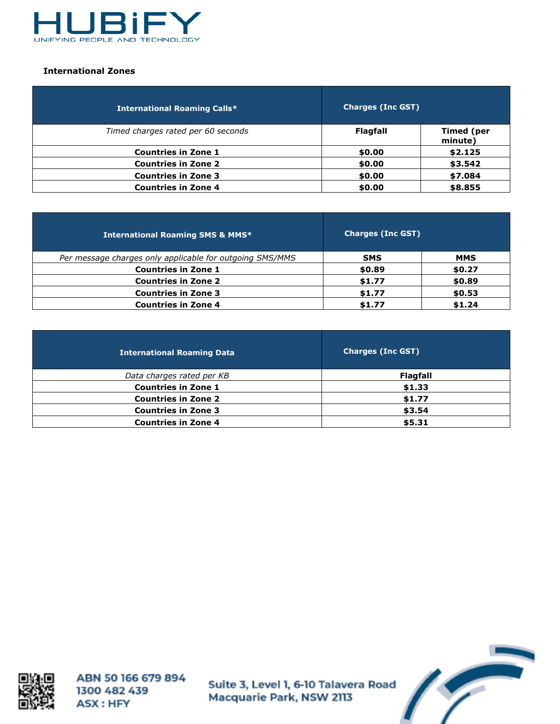

## **International Zones**

| <b>International Roaming Calls*</b> | <b>Charges (Inc GST)</b> |                              |
|-------------------------------------|--------------------------|------------------------------|
| Timed charges rated per 60 seconds  | <b>Flagfall</b>          | <b>Timed (per</b><br>minute) |
| <b>Countries in Zone 1</b>          | \$0.00                   | \$2.125                      |
| <b>Countries in Zone 2</b>          | \$0.00                   | \$3.542                      |
| <b>Countries in Zone 3</b>          | \$0.00                   | \$7.084                      |
| <b>Countries in Zone 4</b>          | \$0.00                   | \$8.855                      |

| <b>International Roaming SMS &amp; MMS*</b>              | <b>Charges (Inc GST)</b> |            |
|----------------------------------------------------------|--------------------------|------------|
| Per message charges only applicable for outgoing SMS/MMS | <b>SMS</b>               | <b>MMS</b> |
| <b>Countries in Zone 1</b>                               | \$0.89                   | \$0.27     |
| <b>Countries in Zone 2</b>                               | \$1.77                   | \$0.89     |
| <b>Countries in Zone 3</b>                               | \$1.77                   | \$0.53     |
| <b>Countries in Zone 4</b>                               | \$1.77                   | \$1.24     |

| <b>International Roaming Data</b> | <b>Charges (Inc GST)</b> |
|-----------------------------------|--------------------------|
| Data charges rated per KB         | <b>Flagfall</b>          |
| <b>Countries in Zone 1</b>        | \$1.33                   |
| <b>Countries in Zone 2</b>        | \$1.77                   |
| <b>Countries in Zone 3</b>        | \$3.54                   |
| <b>Countries in Zone 4</b>        | \$5.31                   |



ABN 50 166 679 894 1300 482 439 ASX: HFY

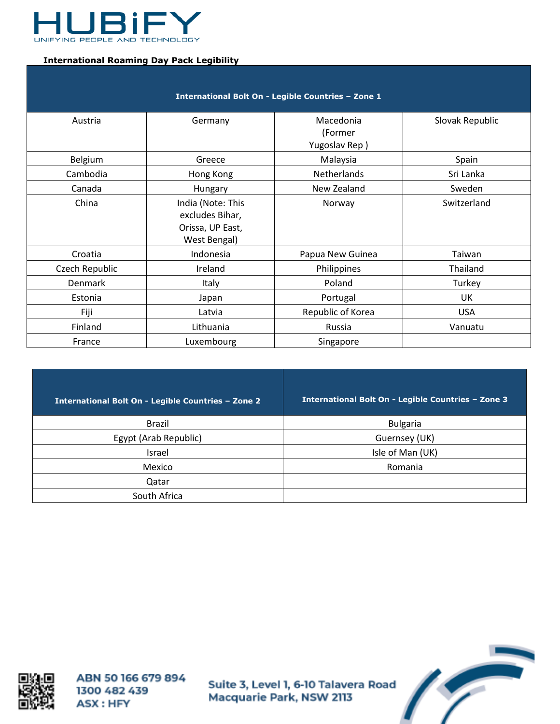

## **International Roaming Day Pack Legibility**

| International Bolt On - Legible Countries - Zone 1 |                                                                          |                                       |                 |
|----------------------------------------------------|--------------------------------------------------------------------------|---------------------------------------|-----------------|
| Austria                                            | Germany                                                                  | Macedonia<br>(Former<br>Yugoslav Rep) | Slovak Republic |
| Belgium                                            | Greece                                                                   | Malaysia                              | Spain           |
| Cambodia                                           | Hong Kong                                                                | Netherlands                           | Sri Lanka       |
| Canada                                             | Hungary                                                                  | New Zealand                           | Sweden          |
| China                                              | India (Note: This<br>excludes Bihar,<br>Orissa, UP East,<br>West Bengal) | Norway                                | Switzerland     |
| Croatia                                            | Indonesia                                                                | Papua New Guinea                      | Taiwan          |
| Czech Republic                                     | Ireland                                                                  | Philippines                           | Thailand        |
| <b>Denmark</b>                                     | Italy                                                                    | Poland                                | Turkey          |
| Estonia                                            | Japan                                                                    | Portugal                              | UK              |
| Fiji                                               | Latvia                                                                   | Republic of Korea                     | <b>USA</b>      |
| Finland                                            | Lithuania                                                                | Russia                                | Vanuatu         |
| France                                             | Luxembourg                                                               | Singapore                             |                 |

| International Bolt On - Legible Countries - Zone 2 | International Bolt On - Legible Countries - Zone 3 |
|----------------------------------------------------|----------------------------------------------------|
| Brazil                                             | <b>Bulgaria</b>                                    |
| Egypt (Arab Republic)                              | Guernsey (UK)                                      |
| Israel                                             | Isle of Man (UK)                                   |
| Mexico                                             | Romania                                            |
| Qatar                                              |                                                    |
| South Africa                                       |                                                    |



ABN 50 166 679 894 1300 482 439 ASX: HFY

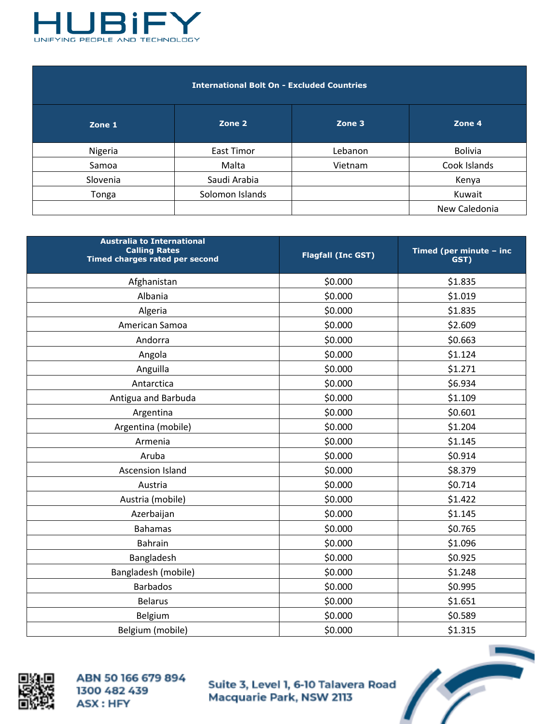

| <b>International Bolt On - Excluded Countries</b> |  |
|---------------------------------------------------|--|
|                                                   |  |

| Zone 1   | Zone 2          | Zone 3  | Zone 4         |
|----------|-----------------|---------|----------------|
| Nigeria  | East Timor      | Lebanon | <b>Bolivia</b> |
| Samoa    | Malta           | Vietnam | Cook Islands   |
| Slovenia | Saudi Arabia    |         | Kenya          |
| Tonga    | Solomon Islands |         | Kuwait         |
|          |                 |         | New Caledonia  |

| <b>Australia to International</b><br><b>Calling Rates</b><br>Timed charges rated per second | <b>Flagfall (Inc GST)</b> | Timed (per minute - inc<br>GST) |
|---------------------------------------------------------------------------------------------|---------------------------|---------------------------------|
| Afghanistan                                                                                 | \$0.000                   | \$1.835                         |
| Albania                                                                                     | \$0.000                   | \$1.019                         |
| Algeria                                                                                     | \$0.000                   | \$1.835                         |
| American Samoa                                                                              | \$0.000                   | \$2.609                         |
| Andorra                                                                                     | \$0.000                   | \$0.663                         |
| Angola                                                                                      | \$0.000                   | \$1.124                         |
| Anguilla                                                                                    | \$0.000                   | \$1.271                         |
| Antarctica                                                                                  | \$0.000                   | \$6.934                         |
| Antigua and Barbuda                                                                         | \$0.000                   | \$1.109                         |
| Argentina                                                                                   | \$0.000                   | \$0.601                         |
| Argentina (mobile)                                                                          | \$0.000                   | \$1.204                         |
| Armenia                                                                                     | \$0.000                   | \$1.145                         |
| Aruba                                                                                       | \$0.000                   | \$0.914                         |
| <b>Ascension Island</b>                                                                     | \$0.000                   | \$8.379                         |
| Austria                                                                                     | \$0.000                   | \$0.714                         |
| Austria (mobile)                                                                            | \$0.000                   | \$1.422                         |
| Azerbaijan                                                                                  | \$0.000                   | \$1.145                         |
| <b>Bahamas</b>                                                                              | \$0.000                   | \$0.765                         |
| <b>Bahrain</b>                                                                              | \$0.000                   | \$1.096                         |
| Bangladesh                                                                                  | \$0.000                   | \$0.925                         |
| Bangladesh (mobile)                                                                         | \$0.000                   | \$1.248                         |
| <b>Barbados</b>                                                                             | \$0.000                   | \$0.995                         |
| <b>Belarus</b>                                                                              | \$0.000                   | \$1.651                         |
| Belgium                                                                                     | \$0.000                   | \$0.589                         |
| Belgium (mobile)                                                                            | \$0.000                   | \$1.315                         |



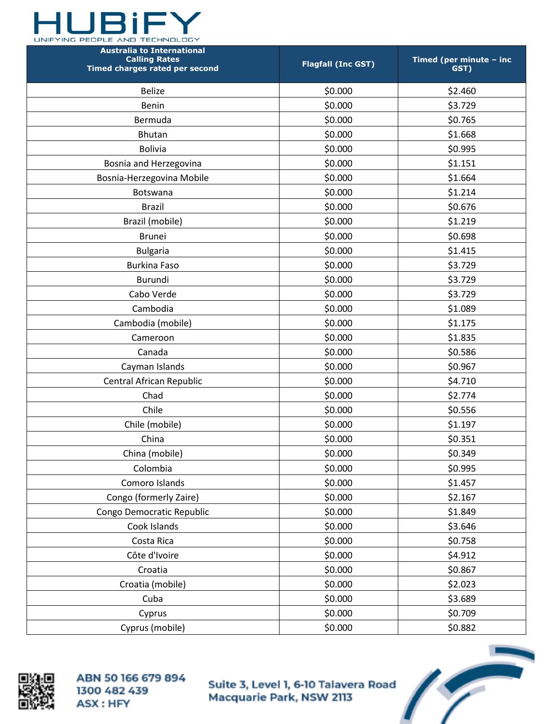

| <b>Australia to International</b><br><b>Calling Rates</b><br>Timed charges rated per second | <b>Flagfall (Inc GST)</b> | Timed (per minute - inc<br>GST) |
|---------------------------------------------------------------------------------------------|---------------------------|---------------------------------|
| <b>Belize</b>                                                                               | \$0.000                   | \$2.460                         |
| Benin                                                                                       | \$0.000                   | \$3.729                         |
| Bermuda                                                                                     | \$0.000                   | \$0.765                         |
| <b>Bhutan</b>                                                                               | \$0.000                   | \$1.668                         |
| <b>Bolivia</b>                                                                              | \$0.000                   | \$0.995                         |
| Bosnia and Herzegovina                                                                      | \$0.000                   | \$1.151                         |
| Bosnia-Herzegovina Mobile                                                                   | \$0.000                   | \$1.664                         |
| Botswana                                                                                    | \$0.000                   | \$1.214                         |
| <b>Brazil</b>                                                                               | \$0.000                   | \$0.676                         |
| Brazil (mobile)                                                                             | \$0.000                   | \$1.219                         |
| <b>Brunei</b>                                                                               | \$0.000                   | \$0.698                         |
| <b>Bulgaria</b>                                                                             | \$0.000                   | \$1.415                         |
| <b>Burkina Faso</b>                                                                         | \$0.000                   | \$3.729                         |
| Burundi                                                                                     | \$0.000                   | \$3.729                         |
| Cabo Verde                                                                                  | \$0.000                   | \$3.729                         |
| Cambodia                                                                                    | \$0.000                   | \$1.089                         |
| Cambodia (mobile)                                                                           | \$0.000                   | \$1.175                         |
| Cameroon                                                                                    | \$0.000                   | \$1.835                         |
| Canada                                                                                      | \$0.000                   | \$0.586                         |
| Cayman Islands                                                                              | \$0.000                   | \$0.967                         |
| Central African Republic                                                                    | \$0.000                   | \$4.710                         |
| Chad                                                                                        | \$0.000                   | \$2.774                         |
| Chile                                                                                       | \$0.000                   | \$0.556                         |
| Chile (mobile)                                                                              | \$0.000                   | \$1.197                         |
| China                                                                                       | \$0.000                   | \$0.351                         |
| China (mobile)                                                                              | \$0.000                   | \$0.349                         |
| Colombia                                                                                    | \$0.000                   | \$0.995                         |
| Comoro Islands                                                                              | \$0.000                   | \$1.457                         |
| Congo (formerly Zaire)                                                                      | \$0.000                   | \$2.167                         |
| Congo Democratic Republic                                                                   | \$0.000                   | \$1.849                         |
| Cook Islands                                                                                | \$0.000                   | \$3.646                         |
| Costa Rica                                                                                  | \$0.000                   | \$0.758                         |
| Côte d'Ivoire                                                                               | \$0.000                   | \$4.912                         |
| Croatia                                                                                     | \$0.000                   | \$0.867                         |
| Croatia (mobile)                                                                            | \$0.000                   | \$2.023                         |
| Cuba                                                                                        | \$0.000                   | \$3.689                         |
| Cyprus                                                                                      | \$0.000                   | \$0.709                         |
| Cyprus (mobile)                                                                             | \$0.000                   | \$0.882                         |



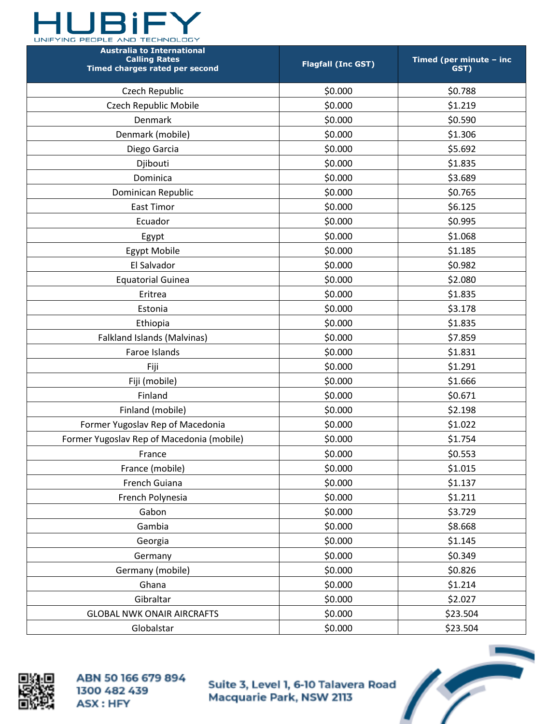

| <b>Australia to International</b><br><b>Calling Rates</b><br>Timed charges rated per second | <b>Flagfall (Inc GST)</b> | Timed (per minute - inc<br>GST) |
|---------------------------------------------------------------------------------------------|---------------------------|---------------------------------|
| Czech Republic                                                                              | \$0.000                   | \$0.788                         |
| Czech Republic Mobile                                                                       | \$0.000                   | \$1.219                         |
| Denmark                                                                                     | \$0.000                   | \$0.590                         |
| Denmark (mobile)                                                                            | \$0.000                   | \$1.306                         |
| Diego Garcia                                                                                | \$0.000                   | \$5.692                         |
| Djibouti                                                                                    | \$0.000                   | \$1.835                         |
| Dominica                                                                                    | \$0.000                   | \$3.689                         |
| Dominican Republic                                                                          | \$0.000                   | \$0.765                         |
| East Timor                                                                                  | \$0.000                   | \$6.125                         |
| Ecuador                                                                                     | \$0.000                   | \$0.995                         |
| Egypt                                                                                       | \$0.000                   | \$1.068                         |
| <b>Egypt Mobile</b>                                                                         | \$0.000                   | \$1.185                         |
| El Salvador                                                                                 | \$0.000                   | \$0.982                         |
| <b>Equatorial Guinea</b>                                                                    | \$0.000                   | \$2.080                         |
| Eritrea                                                                                     | \$0.000                   | \$1.835                         |
| Estonia                                                                                     | \$0.000                   | \$3.178                         |
| Ethiopia                                                                                    | \$0.000                   | \$1.835                         |
| Falkland Islands (Malvinas)                                                                 | \$0.000                   | \$7.859                         |
| Faroe Islands                                                                               | \$0.000                   | \$1.831                         |
| Fiji                                                                                        | \$0.000                   | \$1.291                         |
| Fiji (mobile)                                                                               | \$0.000                   | \$1.666                         |
| Finland                                                                                     | \$0.000                   | \$0.671                         |
| Finland (mobile)                                                                            | \$0.000                   | \$2.198                         |
| Former Yugoslav Rep of Macedonia                                                            | \$0.000                   | \$1.022                         |
| Former Yugoslav Rep of Macedonia (mobile)                                                   | \$0.000                   | \$1.754                         |
| France                                                                                      | \$0.000                   | \$0.553                         |
| France (mobile)                                                                             | \$0.000                   | \$1.015                         |
| French Guiana                                                                               | \$0.000                   | \$1.137                         |
| French Polynesia                                                                            | \$0.000                   | \$1.211                         |
| Gabon                                                                                       | \$0.000                   | \$3.729                         |
| Gambia                                                                                      | \$0.000                   | \$8.668                         |
| Georgia                                                                                     | \$0.000                   | \$1.145                         |
| Germany                                                                                     | \$0.000                   | \$0.349                         |
| Germany (mobile)                                                                            | \$0.000                   | \$0.826                         |
| Ghana                                                                                       | \$0.000                   | \$1.214                         |
| Gibraltar                                                                                   | \$0.000                   | \$2.027                         |
| <b>GLOBAL NWK ONAIR AIRCRAFTS</b>                                                           | \$0.000                   | \$23.504                        |
| Globalstar                                                                                  | \$0.000                   | \$23.504                        |



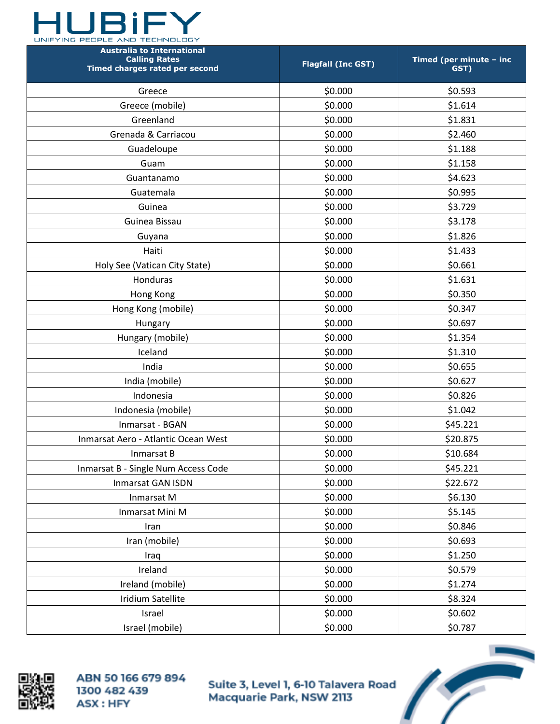

| <b>Australia to International</b><br><b>Calling Rates</b><br>Timed charges rated per second | <b>Flagfall (Inc GST)</b> | Timed (per minute - inc<br>GST) |
|---------------------------------------------------------------------------------------------|---------------------------|---------------------------------|
| Greece                                                                                      | \$0.000                   | \$0.593                         |
| Greece (mobile)                                                                             | \$0.000                   | \$1.614                         |
| Greenland                                                                                   | \$0.000                   | \$1.831                         |
| Grenada & Carriacou                                                                         | \$0.000                   | \$2.460                         |
| Guadeloupe                                                                                  | \$0.000                   | \$1.188                         |
| Guam                                                                                        | \$0.000                   | \$1.158                         |
| Guantanamo                                                                                  | \$0.000                   | \$4.623                         |
| Guatemala                                                                                   | \$0.000                   | \$0.995                         |
| Guinea                                                                                      | \$0.000                   | \$3.729                         |
| Guinea Bissau                                                                               | \$0.000                   | \$3.178                         |
| Guyana                                                                                      | \$0.000                   | \$1.826                         |
| Haiti                                                                                       | \$0.000                   | \$1.433                         |
| Holy See (Vatican City State)                                                               | \$0.000                   | \$0.661                         |
| Honduras                                                                                    | \$0.000                   | \$1.631                         |
| Hong Kong                                                                                   | \$0.000                   | \$0.350                         |
| Hong Kong (mobile)                                                                          | \$0.000                   | \$0.347                         |
| Hungary                                                                                     | \$0.000                   | \$0.697                         |
| Hungary (mobile)                                                                            | \$0.000                   | \$1.354                         |
| Iceland                                                                                     | \$0.000                   | \$1.310                         |
| India                                                                                       | \$0.000                   | \$0.655                         |
| India (mobile)                                                                              | \$0.000                   | \$0.627                         |
| Indonesia                                                                                   | \$0.000                   | \$0.826                         |
| Indonesia (mobile)                                                                          | \$0.000                   | \$1.042                         |
| Inmarsat - BGAN                                                                             | \$0.000                   | \$45.221                        |
| Inmarsat Aero - Atlantic Ocean West                                                         | \$0.000                   | \$20.875                        |
| Inmarsat B                                                                                  | \$0.000                   | \$10.684                        |
| Inmarsat B - Single Num Access Code                                                         | \$0.000                   | \$45.221                        |
| <b>Inmarsat GAN ISDN</b>                                                                    | \$0.000                   | \$22.672                        |
| Inmarsat M                                                                                  | \$0.000                   | \$6.130                         |
| Inmarsat Mini M                                                                             | \$0.000                   | \$5.145                         |
| Iran                                                                                        | \$0.000                   | \$0.846                         |
| Iran (mobile)                                                                               | \$0.000                   | \$0.693                         |
| Iraq                                                                                        | \$0.000                   | \$1.250                         |
| Ireland                                                                                     | \$0.000                   | \$0.579                         |
| Ireland (mobile)                                                                            | \$0.000                   | \$1.274                         |
| <b>Iridium Satellite</b>                                                                    | \$0.000                   | \$8.324                         |
| Israel                                                                                      | \$0.000                   | \$0.602                         |
| Israel (mobile)                                                                             | \$0.000                   | \$0.787                         |



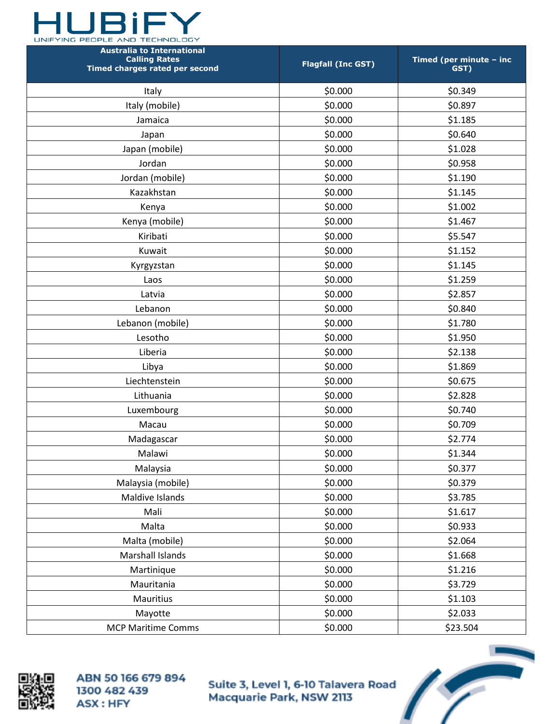

| <b>Australia to International</b><br><b>Calling Rates</b><br>Timed charges rated per second | <b>Flagfall (Inc GST)</b> | Timed (per minute - inc<br>GST) |
|---------------------------------------------------------------------------------------------|---------------------------|---------------------------------|
| Italy                                                                                       | \$0.000                   | \$0.349                         |
| Italy (mobile)                                                                              | \$0.000                   | \$0.897                         |
| Jamaica                                                                                     | \$0.000                   | \$1.185                         |
| Japan                                                                                       | \$0.000                   | \$0.640                         |
| Japan (mobile)                                                                              | \$0.000                   | \$1.028                         |
| Jordan                                                                                      | \$0.000                   | \$0.958                         |
| Jordan (mobile)                                                                             | \$0.000                   | \$1.190                         |
| Kazakhstan                                                                                  | \$0.000                   | \$1.145                         |
| Kenya                                                                                       | \$0.000                   | \$1.002                         |
| Kenya (mobile)                                                                              | \$0.000                   | \$1.467                         |
| Kiribati                                                                                    | \$0.000                   | \$5.547                         |
| Kuwait                                                                                      | \$0.000                   | \$1.152                         |
| Kyrgyzstan                                                                                  | \$0.000                   | \$1.145                         |
| Laos                                                                                        | \$0.000                   | \$1.259                         |
| Latvia                                                                                      | \$0.000                   | \$2.857                         |
| Lebanon                                                                                     | \$0.000                   | \$0.840                         |
| Lebanon (mobile)                                                                            | \$0.000                   | \$1.780                         |
| Lesotho                                                                                     | \$0.000                   | \$1.950                         |
| Liberia                                                                                     | \$0.000                   | \$2.138                         |
| Libya                                                                                       | \$0.000                   | \$1.869                         |
| Liechtenstein                                                                               | \$0.000                   | \$0.675                         |
| Lithuania                                                                                   | \$0.000                   | \$2.828                         |
| Luxembourg                                                                                  | \$0.000                   | \$0.740                         |
| Macau                                                                                       | \$0.000                   | \$0.709                         |
| Madagascar                                                                                  | \$0.000                   | \$2.774                         |
| Malawi                                                                                      | \$0.000                   | \$1.344                         |
| Malaysia                                                                                    | \$0.000                   | \$0.377                         |
| Malaysia (mobile)                                                                           | \$0.000                   | \$0.379                         |
| Maldive Islands                                                                             | \$0.000                   | \$3.785                         |
| Mali                                                                                        | \$0.000                   | \$1.617                         |
| Malta                                                                                       | \$0.000                   | \$0.933                         |
| Malta (mobile)                                                                              | \$0.000                   | \$2.064                         |
| Marshall Islands                                                                            | \$0.000                   | \$1.668                         |
| Martinique                                                                                  | \$0.000                   | \$1.216                         |
| Mauritania                                                                                  | \$0.000                   | \$3.729                         |
| Mauritius                                                                                   | \$0.000                   | \$1.103                         |
| Mayotte                                                                                     | \$0.000                   | \$2.033                         |
| <b>MCP Maritime Comms</b>                                                                   | \$0.000                   | \$23.504                        |



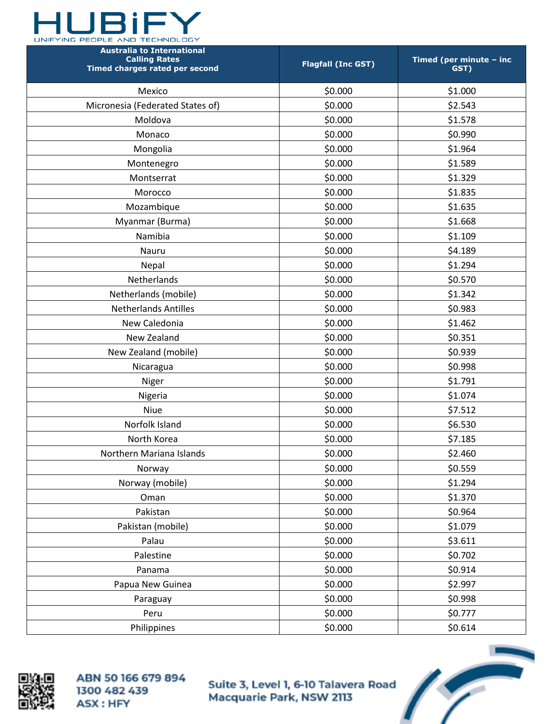

| <b>Australia to International</b><br><b>Calling Rates</b><br>Timed charges rated per second | <b>Flagfall (Inc GST)</b> | Timed (per minute - inc<br>GST) |
|---------------------------------------------------------------------------------------------|---------------------------|---------------------------------|
| Mexico                                                                                      | \$0.000                   | \$1.000                         |
| Micronesia (Federated States of)                                                            | \$0.000                   | \$2.543                         |
| Moldova                                                                                     | \$0.000                   | \$1.578                         |
| Monaco                                                                                      | \$0.000                   | \$0.990                         |
| Mongolia                                                                                    | \$0.000                   | \$1.964                         |
| Montenegro                                                                                  | \$0.000                   | \$1.589                         |
| Montserrat                                                                                  | \$0.000                   | \$1.329                         |
| Morocco                                                                                     | \$0.000                   | \$1.835                         |
| Mozambique                                                                                  | \$0.000                   | \$1.635                         |
| Myanmar (Burma)                                                                             | \$0.000                   | \$1.668                         |
| Namibia                                                                                     | \$0.000                   | \$1.109                         |
| Nauru                                                                                       | \$0.000                   | \$4.189                         |
| Nepal                                                                                       | \$0.000                   | \$1.294                         |
| Netherlands                                                                                 | \$0.000                   | \$0.570                         |
| Netherlands (mobile)                                                                        | \$0.000                   | \$1.342                         |
| <b>Netherlands Antilles</b>                                                                 | \$0.000                   | \$0.983                         |
| New Caledonia                                                                               | \$0.000                   | \$1.462                         |
| New Zealand                                                                                 | \$0.000                   | \$0.351                         |
| New Zealand (mobile)                                                                        | \$0.000                   | \$0.939                         |
| Nicaragua                                                                                   | \$0.000                   | \$0.998                         |
| Niger                                                                                       | \$0.000                   | \$1.791                         |
| Nigeria                                                                                     | \$0.000                   | \$1.074                         |
| Niue                                                                                        | \$0.000                   | \$7.512                         |
| Norfolk Island                                                                              | \$0.000                   | \$6.530                         |
| North Korea                                                                                 | \$0.000                   | \$7.185                         |
| Northern Mariana Islands                                                                    | \$0.000                   | \$2.460                         |
| Norway                                                                                      | \$0.000                   | \$0.559                         |
| Norway (mobile)                                                                             | \$0.000                   | \$1.294                         |
| Oman                                                                                        | \$0.000                   | \$1.370                         |
| Pakistan                                                                                    | \$0.000                   | \$0.964                         |
| Pakistan (mobile)                                                                           | \$0.000                   | \$1.079                         |
| Palau                                                                                       | \$0.000                   | \$3.611                         |
| Palestine                                                                                   | \$0.000                   | \$0.702                         |
| Panama                                                                                      | \$0.000                   | \$0.914                         |
| Papua New Guinea                                                                            | \$0.000                   | \$2.997                         |
| Paraguay                                                                                    | \$0.000                   | \$0.998                         |
| Peru                                                                                        | \$0.000                   | \$0.777                         |
| Philippines                                                                                 | \$0.000                   | \$0.614                         |



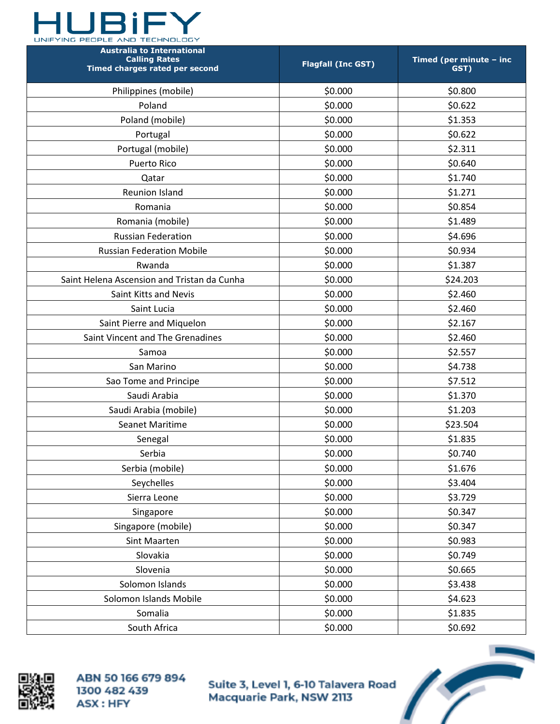

| <b>Australia to International</b><br><b>Calling Rates</b><br>Timed charges rated per second | <b>Flagfall (Inc GST)</b> | Timed (per minute - inc<br>GST) |
|---------------------------------------------------------------------------------------------|---------------------------|---------------------------------|
| Philippines (mobile)                                                                        | \$0.000                   | \$0.800                         |
| Poland                                                                                      | \$0.000                   | \$0.622                         |
| Poland (mobile)                                                                             | \$0.000                   | \$1.353                         |
| Portugal                                                                                    | \$0.000                   | \$0.622                         |
| Portugal (mobile)                                                                           | \$0.000                   | \$2.311                         |
| <b>Puerto Rico</b>                                                                          | \$0.000                   | \$0.640                         |
| Qatar                                                                                       | \$0.000                   | \$1.740                         |
| <b>Reunion Island</b>                                                                       | \$0.000                   | \$1.271                         |
| Romania                                                                                     | \$0.000                   | \$0.854                         |
| Romania (mobile)                                                                            | \$0.000                   | \$1.489                         |
| <b>Russian Federation</b>                                                                   | \$0.000                   | \$4.696                         |
| <b>Russian Federation Mobile</b>                                                            | \$0.000                   | \$0.934                         |
| Rwanda                                                                                      | \$0.000                   | \$1.387                         |
| Saint Helena Ascension and Tristan da Cunha                                                 | \$0.000                   | \$24.203                        |
| Saint Kitts and Nevis                                                                       | \$0.000                   | \$2.460                         |
| Saint Lucia                                                                                 | \$0.000                   | \$2.460                         |
| Saint Pierre and Miquelon                                                                   | \$0.000                   | \$2.167                         |
| Saint Vincent and The Grenadines                                                            | \$0.000                   | \$2.460                         |
| Samoa                                                                                       | \$0.000                   | \$2.557                         |
| San Marino                                                                                  | \$0.000                   | \$4.738                         |
| Sao Tome and Principe                                                                       | \$0.000                   | \$7.512                         |
| Saudi Arabia                                                                                | \$0.000                   | \$1.370                         |
| Saudi Arabia (mobile)                                                                       | \$0.000                   | \$1.203                         |
| Seanet Maritime                                                                             | \$0.000                   | \$23.504                        |
| Senegal                                                                                     | \$0.000                   | \$1.835                         |
| Serbia                                                                                      | \$0.000                   | \$0.740                         |
| Serbia (mobile)                                                                             | \$0.000                   | \$1.676                         |
| Seychelles                                                                                  | \$0.000                   | \$3.404                         |
| Sierra Leone                                                                                | \$0.000                   | \$3.729                         |
| Singapore                                                                                   | \$0.000                   | \$0.347                         |
| Singapore (mobile)                                                                          | \$0.000                   | \$0.347                         |
| Sint Maarten                                                                                | \$0.000                   | \$0.983                         |
| Slovakia                                                                                    | \$0.000                   | \$0.749                         |
| Slovenia                                                                                    | \$0.000                   | \$0.665                         |
| Solomon Islands                                                                             | \$0.000                   | \$3.438                         |
| Solomon Islands Mobile                                                                      | \$0.000                   | \$4.623                         |
| Somalia                                                                                     | \$0.000                   | \$1.835                         |
| South Africa                                                                                | \$0.000                   | \$0.692                         |



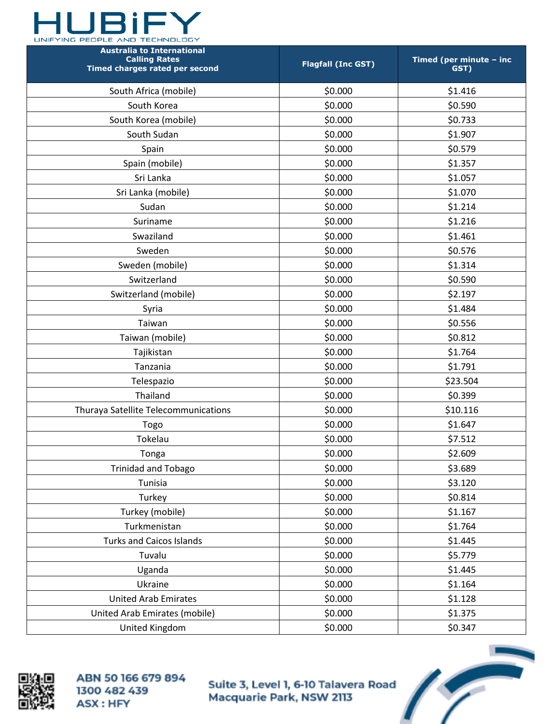

| <b>Australia to International</b><br><b>Calling Rates</b><br>Timed charges rated per second | <b>Flagfall (Inc GST)</b> | Timed (per minute - inc<br>GST) |
|---------------------------------------------------------------------------------------------|---------------------------|---------------------------------|
| South Africa (mobile)                                                                       | \$0.000                   | \$1.416                         |
| South Korea                                                                                 | \$0.000                   | \$0.590                         |
| South Korea (mobile)                                                                        | \$0.000                   | \$0.733                         |
| South Sudan                                                                                 | \$0.000                   | \$1.907                         |
| Spain                                                                                       | \$0.000                   | \$0.579                         |
| Spain (mobile)                                                                              | \$0.000                   | \$1.357                         |
| Sri Lanka                                                                                   | \$0.000                   | \$1.057                         |
| Sri Lanka (mobile)                                                                          | \$0.000                   | \$1.070                         |
| Sudan                                                                                       | \$0.000                   | \$1.214                         |
| Suriname                                                                                    | \$0.000                   | \$1.216                         |
| Swaziland                                                                                   | \$0.000                   | \$1.461                         |
| Sweden                                                                                      | \$0.000                   | \$0.576                         |
| Sweden (mobile)                                                                             | \$0.000                   | \$1.314                         |
| Switzerland                                                                                 | \$0.000                   | \$0.590                         |
| Switzerland (mobile)                                                                        | \$0.000                   | \$2.197                         |
| Syria                                                                                       | \$0.000                   | \$1.484                         |
| Taiwan                                                                                      | \$0.000                   | \$0.556                         |
| Taiwan (mobile)                                                                             | \$0.000                   | \$0.812                         |
| Tajikistan                                                                                  | \$0.000                   | \$1.764                         |
| Tanzania                                                                                    | \$0.000                   | \$1.791                         |
| Telespazio                                                                                  | \$0.000                   | \$23.504                        |
| Thailand                                                                                    | \$0.000                   | \$0.399                         |
| Thuraya Satellite Telecommunications                                                        | \$0.000                   | \$10.116                        |
| Togo                                                                                        | \$0.000                   | \$1.647                         |
| Tokelau                                                                                     | \$0.000                   | \$7.512                         |
| Tonga                                                                                       | \$0.000                   | \$2.609                         |
| <b>Trinidad and Tobago</b>                                                                  | \$0.000                   | \$3.689                         |
| Tunisia                                                                                     | \$0.000                   | \$3.120                         |
| Turkey                                                                                      | \$0.000                   | \$0.814                         |
| Turkey (mobile)                                                                             | \$0.000                   | \$1.167                         |
| Turkmenistan                                                                                | \$0.000                   | \$1.764                         |
| <b>Turks and Caicos Islands</b>                                                             | \$0.000                   | \$1.445                         |
| Tuvalu                                                                                      | \$0.000                   | \$5.779                         |
| Uganda                                                                                      | \$0.000                   | \$1.445                         |
| Ukraine                                                                                     | \$0.000                   | \$1.164                         |
| <b>United Arab Emirates</b>                                                                 | \$0.000                   | \$1.128                         |
| United Arab Emirates (mobile)                                                               | \$0.000                   | \$1.375                         |
| United Kingdom                                                                              | \$0.000                   | \$0.347                         |